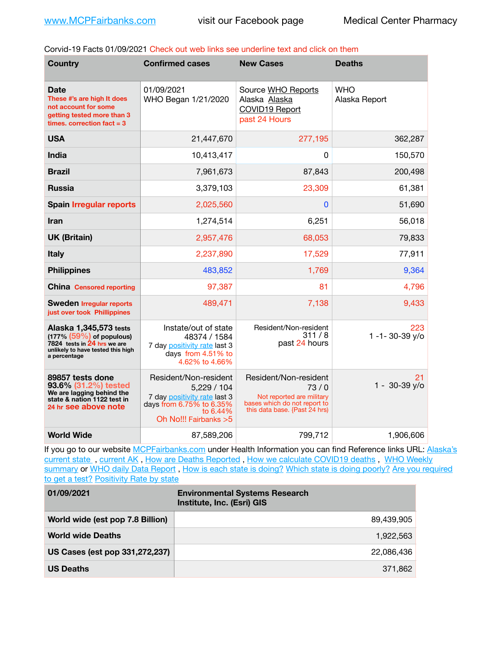Corvid-19 Facts 01/09/2021 Check out web links see underline text and click on them

| <b>Country</b>                                                                                                                             | <b>Confirmed cases</b>                                                                                                               | <b>New Cases</b>                                                                                                            | <b>Deaths</b>                |
|--------------------------------------------------------------------------------------------------------------------------------------------|--------------------------------------------------------------------------------------------------------------------------------------|-----------------------------------------------------------------------------------------------------------------------------|------------------------------|
| Date<br>These #'s are high It does<br>not account for some<br>getting tested more than 3<br>times, correction fact $=$ 3                   | 01/09/2021<br>WHO Began 1/21/2020                                                                                                    | Source WHO Reports<br>Alaska Alaska<br>COVID19 Report<br>past 24 Hours                                                      | <b>WHO</b><br>Alaska Report  |
| <b>USA</b>                                                                                                                                 | 21,447,670                                                                                                                           | 277,195                                                                                                                     | 362,287                      |
| India                                                                                                                                      | 10,413,417                                                                                                                           | 0                                                                                                                           | 150,570                      |
| <b>Brazil</b>                                                                                                                              | 7,961,673                                                                                                                            | 87,843                                                                                                                      | 200,498                      |
| <b>Russia</b>                                                                                                                              | 3,379,103                                                                                                                            | 23,309                                                                                                                      | 61,381                       |
| <b>Spain Irregular reports</b>                                                                                                             | 2,025,560                                                                                                                            | $\mathbf{0}$                                                                                                                | 51,690                       |
| <b>Iran</b>                                                                                                                                | 1,274,514                                                                                                                            | 6,251                                                                                                                       | 56,018                       |
| <b>UK (Britain)</b>                                                                                                                        | 2,957,476                                                                                                                            | 68,053                                                                                                                      | 79,833                       |
| <b>Italy</b>                                                                                                                               | 2,237,890                                                                                                                            | 17,529                                                                                                                      | 77,911                       |
| <b>Philippines</b>                                                                                                                         | 483,852                                                                                                                              | 1,769                                                                                                                       | 9,364                        |
| <b>China Censored reporting</b>                                                                                                            | 97,387                                                                                                                               | 81                                                                                                                          | 4,796                        |
| <b>Sweden Irregular reports</b><br>just over took Phillippines                                                                             | 489,471                                                                                                                              | 7,138                                                                                                                       | 9,433                        |
| Alaska 1,345,573 tests<br>$(177\% (59\%)$ of populous)<br>7824 tests in 24 hrs we are<br>unlikely to have tested this high<br>a percentage | Instate/out of state<br>48374 / 1584<br>7 day positivity rate last 3<br>days from 4.51% to<br>4.62% to 4.66%                         | Resident/Non-resident<br>311/8<br>past 24 hours                                                                             | 223<br>1 -1 - 30 - 39 $y$ /o |
| 89857 tests done<br>93.6% (31.2%) tested<br>We are lagging behind the<br>state & nation 1122 test in<br>24 hr see above note               | Resident/Non-resident<br>5,229/104<br>7 day positivity rate last 3<br>days from 6.75% to 6.35%<br>to 6.44%<br>Oh No!!! Fairbanks > 5 | Resident/Non-resident<br>73/0<br>Not reported are military<br>bases which do not report to<br>this data base. {Past 24 hrs) | 21<br>$1 - 30 - 39$ y/o      |
| <b>World Wide</b>                                                                                                                          | 87,589,206                                                                                                                           | 799,712                                                                                                                     | 1,906,606                    |

If you go to our website [MCPFairbanks.com](http://www.MCPFairbanks.com) under Health Information you can find Reference links URL: Alaska's current state, current AK, [How are Deaths Reported](http://dhss.alaska.gov/dph/Epi/id/Pages/COVID-19/deathcounts.aspx), [How we calculate COVID19 deaths](https://coronavirus-response-alaska-dhss.hub.arcgis.com/search?collection=Document&groupIds=41ccb3344ebc4bd682c74073eba21f42), WHO Weekly [summary](http://www.who.int) or [WHO daily Data Report](https://covid19.who.int/table), [How is each state is doing?](https://www.msn.com/en-us/news/us/state-by-state-coronavirus-news/ar-BB13E1PX?fbclid=IwAR0_OBJH7lSyTN3ug_MsOeFnNgB1orTa9OBgilKJ7dhnwlVvHEsptuKkj1c) [Which state is doing poorly?](https://bestlifeonline.com/covid-outbreak-your-state/?utm_source=nsltr&utm_medium=email&utm_content=covid-outbreak-your-state&utm_campaign=launch) Are you required [to get a test?](http://dhss.alaska.gov/dph/Epi/id/SiteAssets/Pages/HumanCoV/Whattodoafteryourtest.pdf) [Positivity Rate by state](https://coronavirus.jhu.edu/testing/individual-states/alaska)

| 01/09/2021                       | <b>Environmental Systems Research</b><br>Institute, Inc. (Esri) GIS |
|----------------------------------|---------------------------------------------------------------------|
| World wide (est pop 7.8 Billion) | 89.439.905                                                          |
| <b>World wide Deaths</b>         | 1,922,563                                                           |
| US Cases (est pop 331,272,237)   | 22.086.436                                                          |
| <b>US Deaths</b>                 | 371,862                                                             |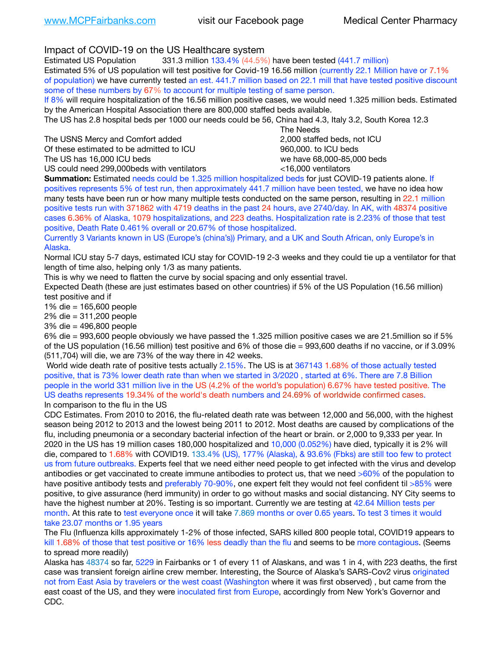Impact of COVID-19 on the US Healthcare system

Estimated US Population 331.3 million 133.4% (44.5%) have been tested (441.7 million) Estimated 5% of US population will test positive for Covid-19 16.56 million (currently 22.1 Million have or 7.1% of population) we have currently tested an est. 441.7 million based on 22.1 mill that have tested positive discount some of these numbers by 67% to account for multiple testing of same person.

If 8% will require hospitalization of the 16.56 million positive cases, we would need 1.325 million beds. Estimated by the American Hospital Association there are 800,000 staffed beds available.

The US has 2.8 hospital beds per 1000 our needs could be 56, China had 4.3, Italy 3.2, South Korea 12.3

The USNS Mercy and Comfort added 2,000 staffed beds, not ICU

Of these estimated to be admitted to ICU 860,000. to ICU beds

The US has 16,000 ICU beds we have 68,000-85,000 beds

 The Needs

US could need 299,000 beds with ventilators  $\leq 16,000$  ventilators

**Summation:** Estimated needs could be 1.325 million hospitalized beds for just COVID-19 patients alone. If positives represents 5% of test run, then approximately 441.7 million have been tested, we have no idea how many tests have been run or how many multiple tests conducted on the same person, resulting in 22.1 million positive tests run with 371862 with 4719 deaths in the past 24 hours, ave 2740/day. In AK, with 48374 positive cases 6.36% of Alaska, 1079 hospitalizations, and 223 deaths. Hospitalization rate is 2.23% of those that test positive, Death Rate 0.461% overall or 20.67% of those hospitalized.

Currently 3 Variants known in US (Europe's (china's)) Primary, and a UK and South African, only Europe's in Alaska.

Normal ICU stay 5-7 days, estimated ICU stay for COVID-19 2-3 weeks and they could tie up a ventilator for that length of time also, helping only 1/3 as many patients.

This is why we need to flatten the curve by social spacing and only essential travel.

Expected Death (these are just estimates based on other countries) if 5% of the US Population (16.56 million) test positive and if

1% die = 165,600 people

2% die = 311,200 people

3% die = 496,800 people

6% die = 993,600 people obviously we have passed the 1.325 million positive cases we are 21.5million so if 5% of the US population (16.56 million) test positive and 6% of those die = 993,600 deaths if no vaccine, or if 3.09% (511,704) will die, we are 73% of the way there in 42 weeks.

 World wide death rate of positive tests actually 2.15%. The US is at 367143 1.68% of those actually tested positive, that is 73% lower death rate than when we started in 3/2020 , started at 6%. There are 7.8 Billion people in the world 331 million live in the US (4.2% of the world's population) 6.67% have tested positive. The US deaths represents 19.34% of the world's death numbers and 24.69% of worldwide confirmed cases. In comparison to the flu in the US

CDC Estimates. From 2010 to 2016, the flu-related death rate was between 12,000 and 56,000, with the highest season being 2012 to 2013 and the lowest being 2011 to 2012. Most deaths are caused by complications of the flu, including pneumonia or a secondary bacterial infection of the heart or brain. or 2,000 to 9,333 per year. In 2020 in the US has 19 million cases 180,000 hospitalized and 10,000 (0.052%) have died, typically it is 2% will die, compared to 1.68% with COVID19. 133.4% (US), 177% (Alaska), & 93.6% (Fbks) are still too few to protect us from future outbreaks. Experts feel that we need either need people to get infected with the virus and develop antibodies or get vaccinated to create immune antibodies to protect us, that we need >60% of the population to have positive antibody tests and preferably 70-90%, one expert felt they would not feel confident til >85% were positive, to give assurance (herd immunity) in order to go without masks and social distancing. NY City seems to have the highest number at 20%. Testing is so important. Currently we are testing at 42.64 Million tests per month. At this rate to test everyone once it will take 7.869 months or over 0.65 years. To test 3 times it would take 23.07 months or 1.95 years

The Flu (Influenza kills approximately 1-2% of those infected, SARS killed 800 people total, COVID19 appears to kill 1.68% of those that test positive or 16% less deadly than the flu and seems to be more contagious. (Seems to spread more readily)

Alaska has 48374 so far, 5229 in Fairbanks or 1 of every 11 of Alaskans, and was 1 in 4, with 223 deaths, the first case was transient foreign airline crew member. Interesting, the Source of Alaska's SARS-Cov2 virus originated not from East Asia by travelers or the west coast (Washington where it was first observed) , but came from the east coast of the US, and they were inoculated first from Europe, accordingly from New York's Governor and CDC.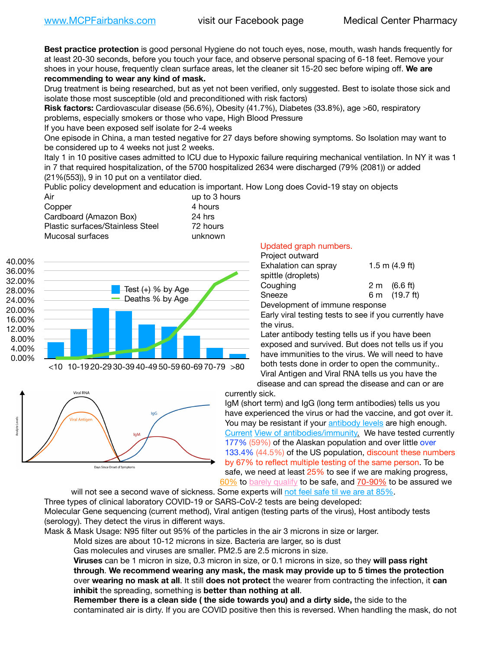**Best practice protection** is good personal Hygiene do not touch eyes, nose, mouth, wash hands frequently for at least 20-30 seconds, before you touch your face, and observe personal spacing of 6-18 feet. Remove your shoes in your house, frequently clean surface areas, let the cleaner sit 15-20 sec before wiping off. **We are recommending to wear any kind of mask.**

Drug treatment is being researched, but as yet not been verified, only suggested. Best to isolate those sick and isolate those most susceptible (old and preconditioned with risk factors)

**Risk factors:** Cardiovascular disease (56.6%), Obesity (41.7%), Diabetes (33.8%), age >60, respiratory problems, especially smokers or those who vape, High Blood Pressure

If you have been exposed self isolate for 2-4 weeks

One episode in China, a man tested negative for 27 days before showing symptoms. So Isolation may want to be considered up to 4 weeks not just 2 weeks.

Italy 1 in 10 positive cases admitted to ICU due to Hypoxic failure requiring mechanical ventilation. In NY it was 1 in 7 that required hospitalization, of the 5700 hospitalized 2634 were discharged (79% (2081)) or added (21%(553)), 9 in 10 put on a ventilator died.

Public policy development and education is important. How Long does Covid-19 stay on objects

| Air                              | up to 3 hours |
|----------------------------------|---------------|
| Copper                           | 4 hours       |
| Cardboard (Amazon Box)           | 24 hrs        |
| Plastic surfaces/Stainless Steel | 72 hours      |
| Mucosal surfaces                 | unknown       |





## Updated graph numbers.

| Project outward                |  |                        |
|--------------------------------|--|------------------------|
| Exhalation can spray           |  | 1.5 m $(4.9$ ft)       |
| spittle (droplets)             |  |                        |
| Coughing                       |  | $2 \text{ m}$ (6.6 ft) |
| Sneeze                         |  | 6 m (19.7 ft)          |
| Development of immune response |  |                        |

Early viral testing tests to see if you currently have the virus.

Later antibody testing tells us if you have been exposed and survived. But does not tells us if you have immunities to the virus. We will need to have both tests done in order to open the community.. Viral Antigen and Viral RNA tells us you have the disease and can spread the disease and can or are

currently sick.

IgM (short term) and IgG (long term antibodies) tells us you have experienced the virus or had the vaccine, and got over it. You may be resistant if your [antibody levels](https://www.cdc.gov/coronavirus/2019-ncov/lab/resources/antibody-tests.html) are high enough. [Current](https://l.facebook.com/l.php?u=https://www.itv.com/news/2020-10-26/covid-19-antibody-levels-reduce-over-time-study-finds?fbclid=IwAR3Dapzh1qIH1EIOdUQI2y8THf7jfA4KBCaJz8Qg-8xe1YsrR4nsAHDIXSY&h=AT30nut8pkqp0heVuz5W2rT2WFFm-2Ab52BsJxZZCNlGsX58IpPkuVEPULbIUV_M16MAukx1Kwb657DPXxsgDN1rpOQ4gqBtQsmVYiWpnHPJo2RQsU6CPMd14lgLnQnFWxfVi6zvmw&__tn__=-UK-R&c%5B0%5D=AT1GaRAfR_nGAyqcn7TI1-PpvqOqEKXHnz6TDWvRStMnOSH7boQDvTiwTOc6VId9UES6LKiOmm2m88wKCoolkJyOFvakt2Z1Mw8toYWGGoWW23r0MNVBl7cYJXB_UOvGklNHaNnaNr1_S7NhT3BSykNOBg) [View of antibodies/immunity](https://www.livescience.com/antibodies.html)[.](https://www.itv.com/news/2020-10-26/covid-19-antibody-levels-reduce-over-time-study-finds) We have tested currently 177% (59%) of the Alaskan population and over little over 133.4% (44.5%) of the US population, discount these numbers by 67% to reflect multiple testing of the same person. To be safe, we need at least 25% to see if we are making progress, [60%](https://www.jhsph.edu/covid-19/articles/achieving-herd-immunity-with-covid19.html) to [barely qualify](https://www.nature.com/articles/d41586-020-02948-4) to be safe, and [70-90%](https://www.mayoclinic.org/herd-immunity-and-coronavirus/art-20486808) to be assured we

will not see a second wave of sickness. Some experts will [not feel safe til we are at 85%.](https://www.bannerhealth.com/healthcareblog/teach-me/what-is-herd-immunity) Three types of clinical laboratory COVID-19 or SARS-CoV-2 tests are being developed: Molecular Gene sequencing (current method), Viral antigen (testing parts of the virus), Host antibody tests (serology). They detect the virus in different ways.

Mask & Mask Usage: N95 filter out 95% of the particles in the air 3 microns in size or larger.

Mold sizes are about 10-12 microns in size. Bacteria are larger, so is dust

Gas molecules and viruses are smaller. PM2.5 are 2.5 microns in size.

**Viruses** can be 1 micron in size, 0.3 micron in size, or 0.1 microns in size, so they **will pass right through**. **We recommend wearing any mask, the mask may provide up to 5 times the protection** over **wearing no mask at all**. It still **does not protect** the wearer from contracting the infection, it **can inhibit** the spreading, something is **better than nothing at all**.

**Remember there is a clean side ( the side towards you) and a dirty side,** the side to the contaminated air is dirty. If you are COVID positive then this is reversed. When handling the mask, do not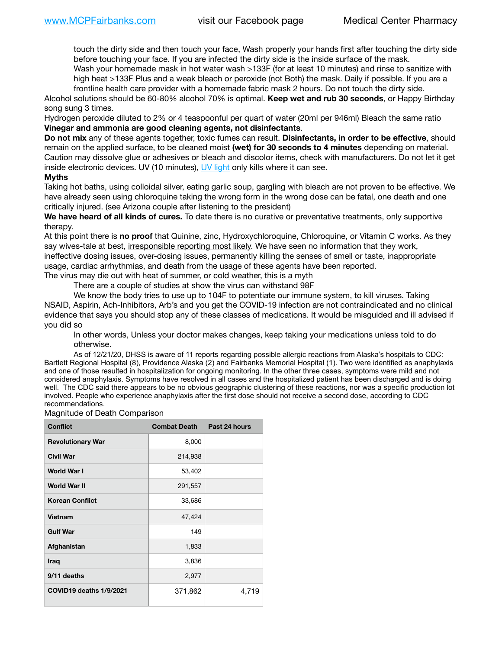touch the dirty side and then touch your face, Wash properly your hands first after touching the dirty side before touching your face. If you are infected the dirty side is the inside surface of the mask.

Wash your homemade mask in hot water wash >133F (for at least 10 minutes) and rinse to sanitize with high heat >133F Plus and a weak bleach or peroxide (not Both) the mask. Daily if possible. If you are a frontline health care provider with a homemade fabric mask 2 hours. Do not touch the dirty side.

Alcohol solutions should be 60-80% alcohol 70% is optimal. **Keep wet and rub 30 seconds**, or Happy Birthday song sung 3 times.

Hydrogen peroxide diluted to 2% or 4 teaspoonful per quart of water (20ml per 946ml) Bleach the same ratio **Vinegar and ammonia are good cleaning agents, not disinfectants**.

**Do not mix** any of these agents together, toxic fumes can result. **Disinfectants, in order to be effective**, should remain on the applied surface, to be cleaned moist **(wet) for 30 seconds to 4 minutes** depending on material. Caution may dissolve glue or adhesives or bleach and discolor items, check with manufacturers. Do not let it get inside electronic devices. UV (10 minutes), [UV light](http://www.docreviews.me/best-uv-boxes-2020/?fbclid=IwAR3bvFtXB48OoBBSvYvTEnKuHNPbipxM6jUo82QUSw9wckxjC7wwRZWabGw) only kills where it can see.

## **Myths**

Taking hot baths, using colloidal silver, eating garlic soup, gargling with bleach are not proven to be effective. We have already seen using chloroquine taking the wrong form in the wrong dose can be fatal, one death and one critically injured. (see Arizona couple after listening to the president)

**We have heard of all kinds of cures.** To date there is no curative or preventative treatments, only supportive therapy.

At this point there is **no proof** that Quinine, zinc, Hydroxychloroquine, Chloroquine, or Vitamin C works. As they say wives-tale at best, irresponsible reporting most likely. We have seen no information that they work, ineffective dosing issues, over-dosing issues, permanently killing the senses of smell or taste, inappropriate usage, cardiac arrhythmias, and death from the usage of these agents have been reported. The virus may die out with heat of summer, or cold weather, this is a myth

There are a couple of studies at show the virus can withstand 98F

We know the body tries to use up to 104F to potentiate our immune system, to kill viruses. Taking NSAID, Aspirin, Ach-Inhibitors, Arb's and you get the COVID-19 infection are not contraindicated and no clinical evidence that says you should stop any of these classes of medications. It would be misguided and ill advised if you did so

In other words, Unless your doctor makes changes, keep taking your medications unless told to do otherwise.

As of 12/21/20, DHSS is aware of 11 reports regarding possible allergic reactions from Alaska's hospitals to CDC: Bartlett Regional Hospital (8), Providence Alaska (2) and Fairbanks Memorial Hospital (1). Two were identified as anaphylaxis and one of those resulted in hospitalization for ongoing monitoring. In the other three cases, symptoms were mild and not considered anaphylaxis. Symptoms have resolved in all cases and the hospitalized patient has been discharged and is doing well. The CDC said there appears to be no obvious geographic clustering of these reactions, nor was a specific production lot involved. People who experience anaphylaxis after the first dose should not receive a second dose, according to CDC recommendations.

Magnitude of Death Comparison

| <b>Conflict</b>          | Combat Death Past 24 hours |       |
|--------------------------|----------------------------|-------|
| <b>Revolutionary War</b> | 8,000                      |       |
| <b>Civil War</b>         | 214,938                    |       |
| <b>World War I</b>       | 53,402                     |       |
| World War II             | 291,557                    |       |
| <b>Korean Conflict</b>   | 33,686                     |       |
| Vietnam                  | 47,424                     |       |
| <b>Gulf War</b>          | 149                        |       |
| Afghanistan              | 1,833                      |       |
| <b>Iraq</b>              | 3,836                      |       |
| 9/11 deaths              | 2,977                      |       |
| COVID19 deaths 1/9/2021  | 371,862                    | 4,719 |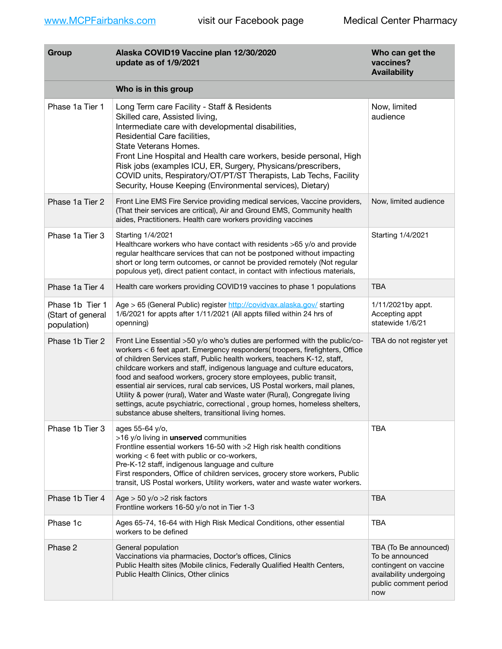| Group                                               | Alaska COVID19 Vaccine plan 12/30/2020<br>update as of 1/9/2021                                                                                                                                                                                                                                                                                                                                                                                                                                                                                                                                                                                                                           | Who can get the<br>vaccines?<br><b>Availability</b>                                                                          |
|-----------------------------------------------------|-------------------------------------------------------------------------------------------------------------------------------------------------------------------------------------------------------------------------------------------------------------------------------------------------------------------------------------------------------------------------------------------------------------------------------------------------------------------------------------------------------------------------------------------------------------------------------------------------------------------------------------------------------------------------------------------|------------------------------------------------------------------------------------------------------------------------------|
|                                                     | Who is in this group                                                                                                                                                                                                                                                                                                                                                                                                                                                                                                                                                                                                                                                                      |                                                                                                                              |
| Phase 1a Tier 1                                     | Long Term care Facility - Staff & Residents<br>Skilled care, Assisted living,<br>Intermediate care with developmental disabilities,<br>Residential Care facilities,<br>State Veterans Homes.<br>Front Line Hospital and Health care workers, beside personal, High<br>Risk jobs (examples ICU, ER, Surgery, Physicans/prescribers,<br>COVID units, Respiratory/OT/PT/ST Therapists, Lab Techs, Facility<br>Security, House Keeping (Environmental services), Dietary)                                                                                                                                                                                                                     | Now, limited<br>audience                                                                                                     |
| Phase 1a Tier 2                                     | Front Line EMS Fire Service providing medical services, Vaccine providers,<br>(That their services are critical), Air and Ground EMS, Community health<br>aides, Practitioners. Health care workers providing vaccines                                                                                                                                                                                                                                                                                                                                                                                                                                                                    | Now, limited audience                                                                                                        |
| Phase 1a Tier 3                                     | Starting 1/4/2021<br>Healthcare workers who have contact with residents >65 y/o and provide<br>regular healthcare services that can not be postponed without impacting<br>short or long term outcomes, or cannot be provided remotely (Not regular<br>populous yet), direct patient contact, in contact with infectious materials,                                                                                                                                                                                                                                                                                                                                                        | Starting 1/4/2021                                                                                                            |
| Phase 1a Tier 4                                     | Health care workers providing COVID19 vaccines to phase 1 populations                                                                                                                                                                                                                                                                                                                                                                                                                                                                                                                                                                                                                     | <b>TBA</b>                                                                                                                   |
| Phase 1b Tier 1<br>(Start of general<br>population) | Age > 65 (General Public) register http://covidvax.alaska.gov/ starting<br>1/6/2021 for appts after 1/11/2021 (All appts filled within 24 hrs of<br>openning)                                                                                                                                                                                                                                                                                                                                                                                                                                                                                                                             | 1/11/2021by appt.<br>Accepting appt<br>statewide 1/6/21                                                                      |
| Phase 1b Tier 2                                     | Front Line Essential >50 y/o who's duties are performed with the public/co-<br>workers < 6 feet apart. Emergency responders(troopers, firefighters, Office<br>of children Services staff, Public health workers, teachers K-12, staff,<br>childcare workers and staff, indigenous language and culture educators,<br>food and seafood workers, grocery store employees, public transit,<br>essential air services, rural cab services, US Postal workers, mail planes,<br>Utility & power (rural), Water and Waste water (Rural), Congregate living<br>settings, acute psychiatric, correctional, group homes, homeless shelters,<br>substance abuse shelters, transitional living homes. | TBA do not register yet                                                                                                      |
| Phase 1b Tier 3                                     | ages 55-64 y/o,<br>>16 y/o living in unserved communities<br>Frontline essential workers 16-50 with >2 High risk health conditions<br>working < 6 feet with public or co-workers,<br>Pre-K-12 staff, indigenous language and culture<br>First responders, Office of children services, grocery store workers, Public<br>transit, US Postal workers, Utility workers, water and waste water workers.                                                                                                                                                                                                                                                                                       | <b>TBA</b>                                                                                                                   |
| Phase 1b Tier 4                                     | Age $>$ 50 y/o $>$ 2 risk factors<br>Frontline workers 16-50 y/o not in Tier 1-3                                                                                                                                                                                                                                                                                                                                                                                                                                                                                                                                                                                                          | <b>TBA</b>                                                                                                                   |
| Phase 1c                                            | Ages 65-74, 16-64 with High Risk Medical Conditions, other essential<br>workers to be defined                                                                                                                                                                                                                                                                                                                                                                                                                                                                                                                                                                                             | <b>TBA</b>                                                                                                                   |
| Phase 2                                             | General population<br>Vaccinations via pharmacies, Doctor's offices, Clinics<br>Public Health sites (Mobile clinics, Federally Qualified Health Centers,<br>Public Health Clinics, Other clinics                                                                                                                                                                                                                                                                                                                                                                                                                                                                                          | TBA (To Be announced)<br>To be announced<br>contingent on vaccine<br>availability undergoing<br>public comment period<br>now |